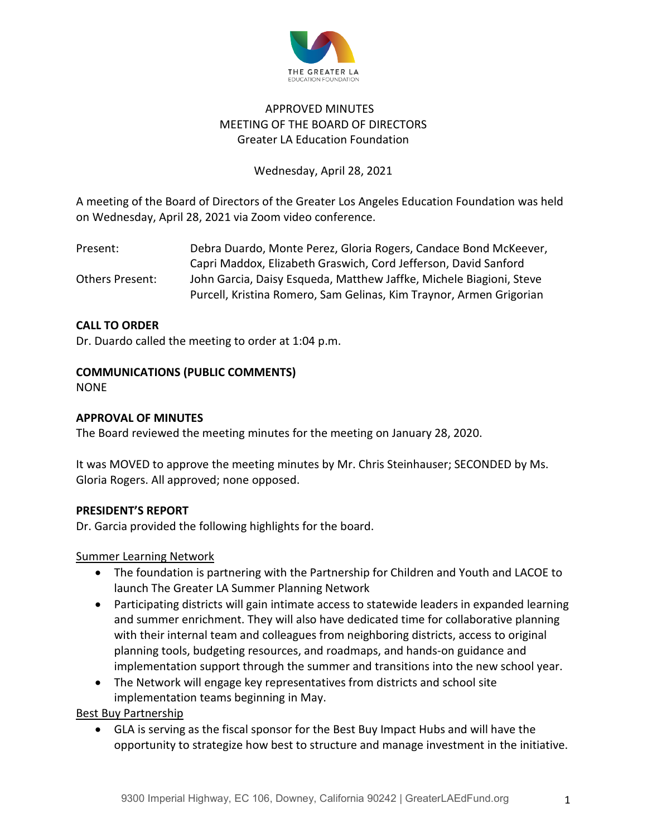

# APPROVED MINUTES MEETING OF THE BOARD OF DIRECTORS Greater LA Education Foundation

# Wednesday, April 28, 2021

A meeting of the Board of Directors of the Greater Los Angeles Education Foundation was held on Wednesday, April 28, 2021 via Zoom video conference.

| Present:        | Debra Duardo, Monte Perez, Gloria Rogers, Candace Bond McKeever,    |
|-----------------|---------------------------------------------------------------------|
|                 | Capri Maddox, Elizabeth Graswich, Cord Jefferson, David Sanford     |
| Others Present: | John Garcia, Daisy Esqueda, Matthew Jaffke, Michele Biagioni, Steve |
|                 | Purcell, Kristina Romero, Sam Gelinas, Kim Traynor, Armen Grigorian |

# **CALL TO ORDER**

Dr. Duardo called the meeting to order at 1:04 p.m.

# **COMMUNICATIONS (PUBLIC COMMENTS)**

NONE

## **APPROVAL OF MINUTES**

The Board reviewed the meeting minutes for the meeting on January 28, 2020.

It was MOVED to approve the meeting minutes by Mr. Chris Steinhauser; SECONDED by Ms. Gloria Rogers. All approved; none opposed.

## **PRESIDENT'S REPORT**

Dr. Garcia provided the following highlights for the board.

## Summer Learning Network

- The foundation is partnering with the Partnership for Children and Youth and LACOE to launch The Greater LA Summer Planning Network
- Participating districts will gain intimate access to statewide leaders in expanded learning and summer enrichment. They will also have dedicated time for collaborative planning with their internal team and colleagues from neighboring districts, access to original planning tools, budgeting resources, and roadmaps, and hands-on guidance and implementation support through the summer and transitions into the new school year.
- The Network will engage key representatives from districts and school site implementation teams beginning in May.

Best Buy Partnership

• GLA is serving as the fiscal sponsor for the Best Buy Impact Hubs and will have the opportunity to strategize how best to structure and manage investment in the initiative.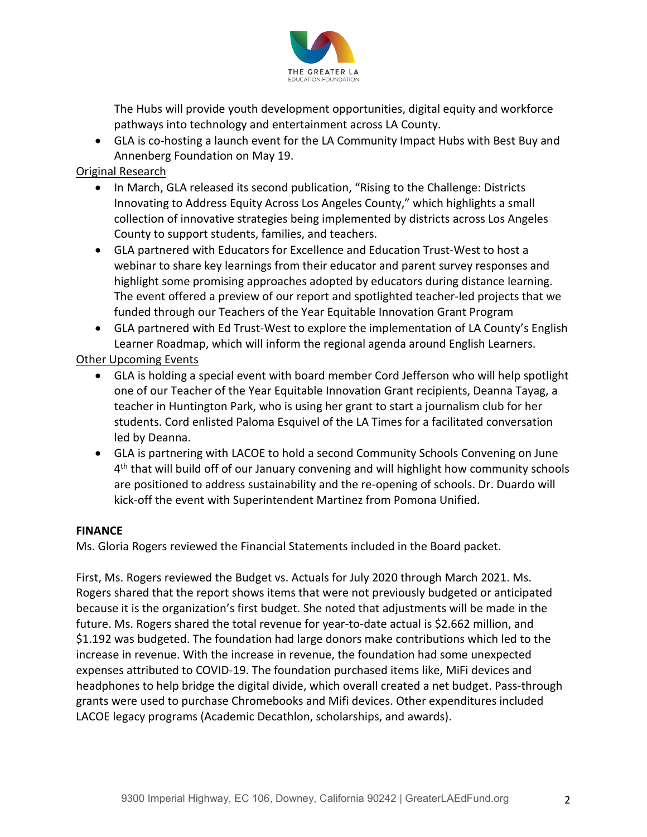

The Hubs will provide youth development opportunities, digital equity and workforce pathways into technology and entertainment across LA County.

• GLA is co-hosting a launch event for the LA Community Impact Hubs with Best Buy and Annenberg Foundation on May 19.

# Original Research

- In March, GLA released its second publication, "Rising to the Challenge: Districts Innovating to Address Equity Across Los Angeles County," which highlights a small collection of innovative strategies being implemented by districts across Los Angeles County to support students, families, and teachers.
- GLA partnered with Educators for Excellence and Education Trust-West to host a webinar to share key learnings from their educator and parent survey responses and highlight some promising approaches adopted by educators during distance learning. The event offered a preview of our report and spotlighted teacher-led projects that we funded through our Teachers of the Year Equitable Innovation Grant Program
- GLA partnered with Ed Trust-West to explore the implementation of LA County's English Learner Roadmap, which will inform the regional agenda around English Learners.

# Other Upcoming Events

- GLA is holding a special event with board member Cord Jefferson who will help spotlight one of our Teacher of the Year Equitable Innovation Grant recipients, Deanna Tayag, a teacher in Huntington Park, who is using her grant to start a journalism club for her students. Cord enlisted Paloma Esquivel of the LA Times for a facilitated conversation led by Deanna.
- GLA is partnering with LACOE to hold a second Community Schools Convening on June 4th that will build off of our January convening and will highlight how community schools are positioned to address sustainability and the re-opening of schools. Dr. Duardo will kick-off the event with Superintendent Martinez from Pomona Unified.

# **FINANCE**

Ms. Gloria Rogers reviewed the Financial Statements included in the Board packet.

First, Ms. Rogers reviewed the Budget vs. Actuals for July 2020 through March 2021. Ms. Rogers shared that the report shows items that were not previously budgeted or anticipated because it is the organization's first budget. She noted that adjustments will be made in the future. Ms. Rogers shared the total revenue for year-to-date actual is \$2.662 million, and \$1.192 was budgeted. The foundation had large donors make contributions which led to the increase in revenue. With the increase in revenue, the foundation had some unexpected expenses attributed to COVID-19. The foundation purchased items like, MiFi devices and headphones to help bridge the digital divide, which overall created a net budget. Pass-through grants were used to purchase Chromebooks and Mifi devices. Other expenditures included LACOE legacy programs (Academic Decathlon, scholarships, and awards).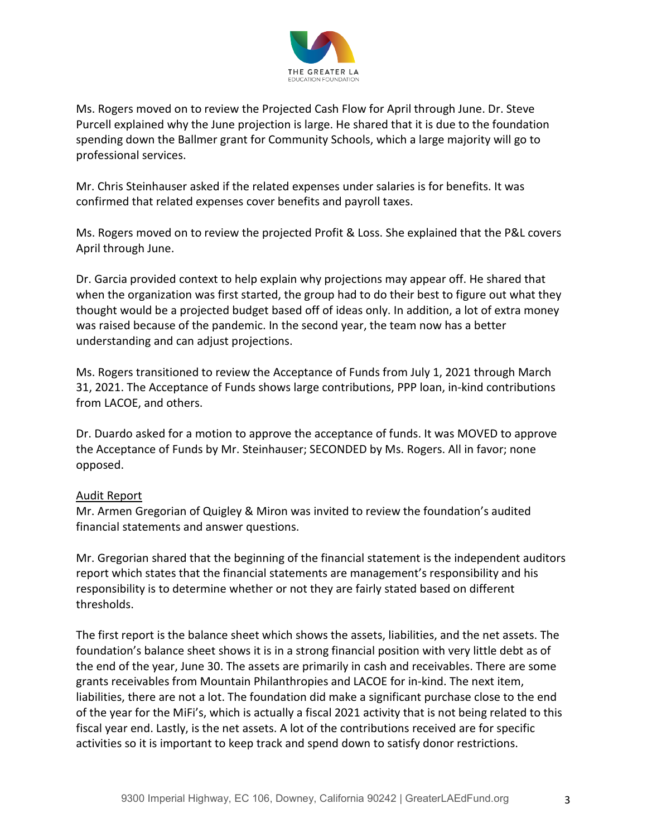

Ms. Rogers moved on to review the Projected Cash Flow for April through June. Dr. Steve Purcell explained why the June projection is large. He shared that it is due to the foundation spending down the Ballmer grant for Community Schools, which a large majority will go to professional services.

Mr. Chris Steinhauser asked if the related expenses under salaries is for benefits. It was confirmed that related expenses cover benefits and payroll taxes.

Ms. Rogers moved on to review the projected Profit & Loss. She explained that the P&L covers April through June.

Dr. Garcia provided context to help explain why projections may appear off. He shared that when the organization was first started, the group had to do their best to figure out what they thought would be a projected budget based off of ideas only. In addition, a lot of extra money was raised because of the pandemic. In the second year, the team now has a better understanding and can adjust projections.

Ms. Rogers transitioned to review the Acceptance of Funds from July 1, 2021 through March 31, 2021. The Acceptance of Funds shows large contributions, PPP loan, in-kind contributions from LACOE, and others.

Dr. Duardo asked for a motion to approve the acceptance of funds. It was MOVED to approve the Acceptance of Funds by Mr. Steinhauser; SECONDED by Ms. Rogers. All in favor; none opposed.

## Audit Report

Mr. Armen Gregorian of Quigley & Miron was invited to review the foundation's audited financial statements and answer questions.

Mr. Gregorian shared that the beginning of the financial statement is the independent auditors report which states that the financial statements are management's responsibility and his responsibility is to determine whether or not they are fairly stated based on different thresholds.

The first report is the balance sheet which shows the assets, liabilities, and the net assets. The foundation's balance sheet shows it is in a strong financial position with very little debt as of the end of the year, June 30. The assets are primarily in cash and receivables. There are some grants receivables from Mountain Philanthropies and LACOE for in-kind. The next item, liabilities, there are not a lot. The foundation did make a significant purchase close to the end of the year for the MiFi's, which is actually a fiscal 2021 activity that is not being related to this fiscal year end. Lastly, is the net assets. A lot of the contributions received are for specific activities so it is important to keep track and spend down to satisfy donor restrictions.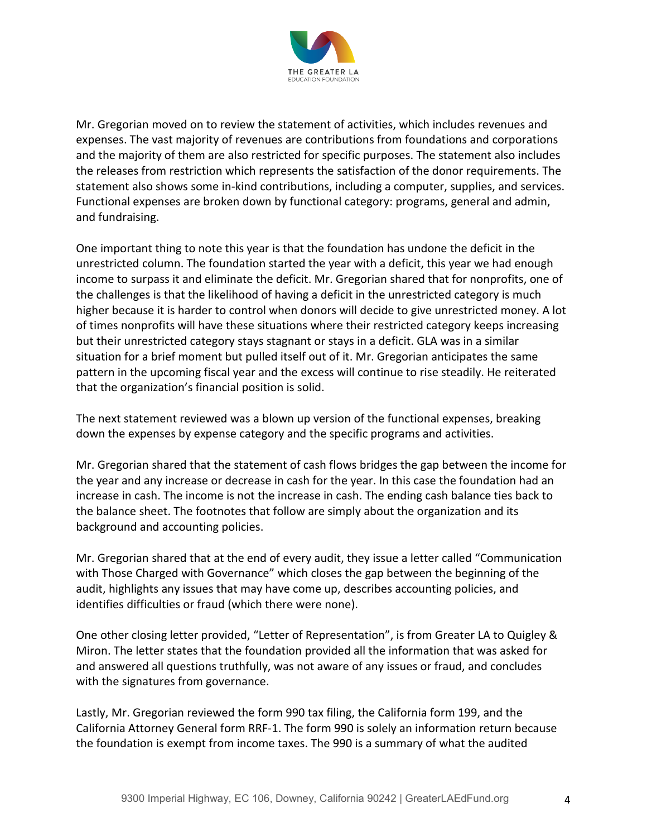

Mr. Gregorian moved on to review the statement of activities, which includes revenues and expenses. The vast majority of revenues are contributions from foundations and corporations and the majority of them are also restricted for specific purposes. The statement also includes the releases from restriction which represents the satisfaction of the donor requirements. The statement also shows some in-kind contributions, including a computer, supplies, and services. Functional expenses are broken down by functional category: programs, general and admin, and fundraising.

One important thing to note this year is that the foundation has undone the deficit in the unrestricted column. The foundation started the year with a deficit, this year we had enough income to surpass it and eliminate the deficit. Mr. Gregorian shared that for nonprofits, one of the challenges is that the likelihood of having a deficit in the unrestricted category is much higher because it is harder to control when donors will decide to give unrestricted money. A lot of times nonprofits will have these situations where their restricted category keeps increasing but their unrestricted category stays stagnant or stays in a deficit. GLA was in a similar situation for a brief moment but pulled itself out of it. Mr. Gregorian anticipates the same pattern in the upcoming fiscal year and the excess will continue to rise steadily. He reiterated that the organization's financial position is solid.

The next statement reviewed was a blown up version of the functional expenses, breaking down the expenses by expense category and the specific programs and activities.

Mr. Gregorian shared that the statement of cash flows bridges the gap between the income for the year and any increase or decrease in cash for the year. In this case the foundation had an increase in cash. The income is not the increase in cash. The ending cash balance ties back to the balance sheet. The footnotes that follow are simply about the organization and its background and accounting policies.

Mr. Gregorian shared that at the end of every audit, they issue a letter called "Communication with Those Charged with Governance" which closes the gap between the beginning of the audit, highlights any issues that may have come up, describes accounting policies, and identifies difficulties or fraud (which there were none).

One other closing letter provided, "Letter of Representation", is from Greater LA to Quigley & Miron. The letter states that the foundation provided all the information that was asked for and answered all questions truthfully, was not aware of any issues or fraud, and concludes with the signatures from governance.

Lastly, Mr. Gregorian reviewed the form 990 tax filing, the California form 199, and the California Attorney General form RRF-1. The form 990 is solely an information return because the foundation is exempt from income taxes. The 990 is a summary of what the audited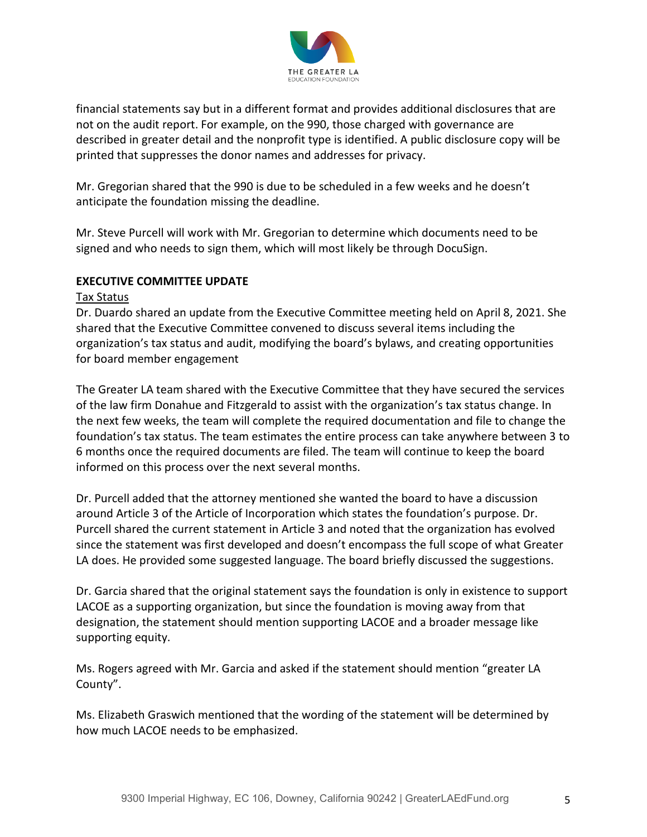

financial statements say but in a different format and provides additional disclosures that are not on the audit report. For example, on the 990, those charged with governance are described in greater detail and the nonprofit type is identified. A public disclosure copy will be printed that suppresses the donor names and addresses for privacy.

Mr. Gregorian shared that the 990 is due to be scheduled in a few weeks and he doesn't anticipate the foundation missing the deadline.

Mr. Steve Purcell will work with Mr. Gregorian to determine which documents need to be signed and who needs to sign them, which will most likely be through DocuSign.

# **EXECUTIVE COMMITTEE UPDATE**

#### Tax Status

Dr. Duardo shared an update from the Executive Committee meeting held on April 8, 2021. She shared that the Executive Committee convened to discuss several items including the organization's tax status and audit, modifying the board's bylaws, and creating opportunities for board member engagement

The Greater LA team shared with the Executive Committee that they have secured the services of the law firm Donahue and Fitzgerald to assist with the organization's tax status change. In the next few weeks, the team will complete the required documentation and file to change the foundation's tax status. The team estimates the entire process can take anywhere between 3 to 6 months once the required documents are filed. The team will continue to keep the board informed on this process over the next several months.

Dr. Purcell added that the attorney mentioned she wanted the board to have a discussion around Article 3 of the Article of Incorporation which states the foundation's purpose. Dr. Purcell shared the current statement in Article 3 and noted that the organization has evolved since the statement was first developed and doesn't encompass the full scope of what Greater LA does. He provided some suggested language. The board briefly discussed the suggestions.

Dr. Garcia shared that the original statement says the foundation is only in existence to support LACOE as a supporting organization, but since the foundation is moving away from that designation, the statement should mention supporting LACOE and a broader message like supporting equity.

Ms. Rogers agreed with Mr. Garcia and asked if the statement should mention "greater LA County".

Ms. Elizabeth Graswich mentioned that the wording of the statement will be determined by how much LACOE needs to be emphasized.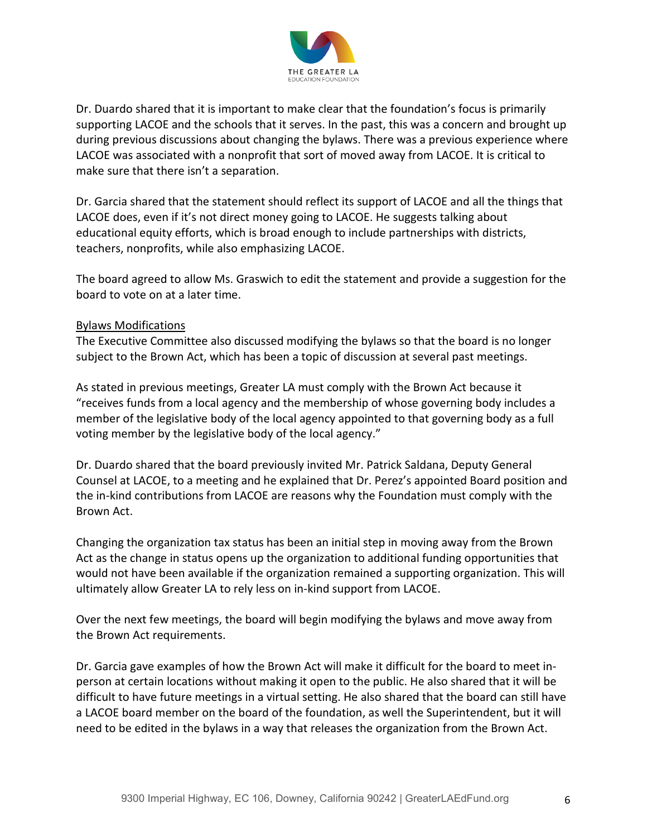

Dr. Duardo shared that it is important to make clear that the foundation's focus is primarily supporting LACOE and the schools that it serves. In the past, this was a concern and brought up during previous discussions about changing the bylaws. There was a previous experience where LACOE was associated with a nonprofit that sort of moved away from LACOE. It is critical to make sure that there isn't a separation.

Dr. Garcia shared that the statement should reflect its support of LACOE and all the things that LACOE does, even if it's not direct money going to LACOE. He suggests talking about educational equity efforts, which is broad enough to include partnerships with districts, teachers, nonprofits, while also emphasizing LACOE.

The board agreed to allow Ms. Graswich to edit the statement and provide a suggestion for the board to vote on at a later time.

# Bylaws Modifications

The Executive Committee also discussed modifying the bylaws so that the board is no longer subject to the Brown Act, which has been a topic of discussion at several past meetings.

As stated in previous meetings, Greater LA must comply with the Brown Act because it "receives funds from a local agency and the membership of whose governing body includes a member of the legislative body of the local agency appointed to that governing body as a full voting member by the legislative body of the local agency."

Dr. Duardo shared that the board previously invited Mr. Patrick Saldana, Deputy General Counsel at LACOE, to a meeting and he explained that Dr. Perez's appointed Board position and the in-kind contributions from LACOE are reasons why the Foundation must comply with the Brown Act.

Changing the organization tax status has been an initial step in moving away from the Brown Act as the change in status opens up the organization to additional funding opportunities that would not have been available if the organization remained a supporting organization. This will ultimately allow Greater LA to rely less on in-kind support from LACOE.

Over the next few meetings, the board will begin modifying the bylaws and move away from the Brown Act requirements.

Dr. Garcia gave examples of how the Brown Act will make it difficult for the board to meet inperson at certain locations without making it open to the public. He also shared that it will be difficult to have future meetings in a virtual setting. He also shared that the board can still have a LACOE board member on the board of the foundation, as well the Superintendent, but it will need to be edited in the bylaws in a way that releases the organization from the Brown Act.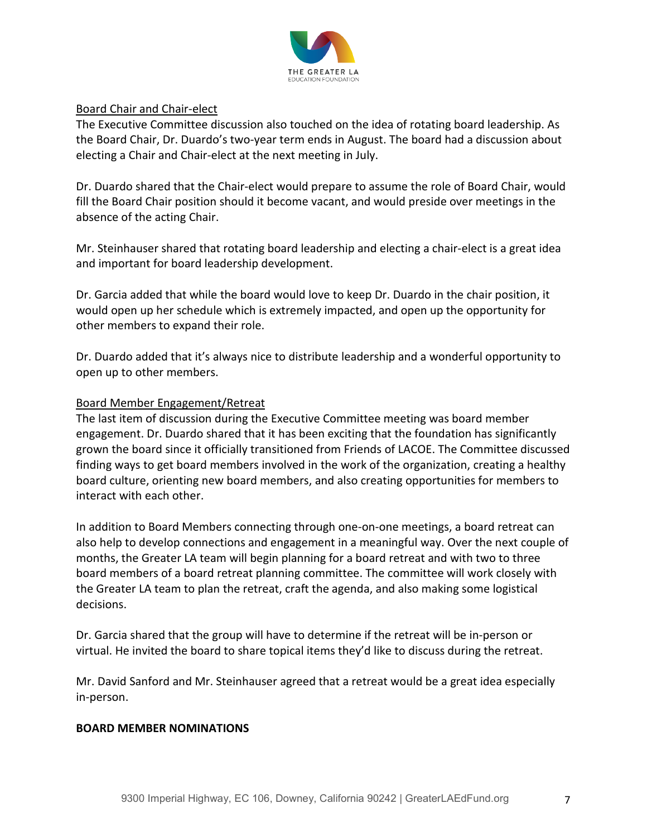

## Board Chair and Chair-elect

The Executive Committee discussion also touched on the idea of rotating board leadership. As the Board Chair, Dr. Duardo's two-year term ends in August. The board had a discussion about electing a Chair and Chair-elect at the next meeting in July.

Dr. Duardo shared that the Chair-elect would prepare to assume the role of Board Chair, would fill the Board Chair position should it become vacant, and would preside over meetings in the absence of the acting Chair.

Mr. Steinhauser shared that rotating board leadership and electing a chair-elect is a great idea and important for board leadership development.

Dr. Garcia added that while the board would love to keep Dr. Duardo in the chair position, it would open up her schedule which is extremely impacted, and open up the opportunity for other members to expand their role.

Dr. Duardo added that it's always nice to distribute leadership and a wonderful opportunity to open up to other members.

# Board Member Engagement/Retreat

The last item of discussion during the Executive Committee meeting was board member engagement. Dr. Duardo shared that it has been exciting that the foundation has significantly grown the board since it officially transitioned from Friends of LACOE. The Committee discussed finding ways to get board members involved in the work of the organization, creating a healthy board culture, orienting new board members, and also creating opportunities for members to interact with each other.

In addition to Board Members connecting through one-on-one meetings, a board retreat can also help to develop connections and engagement in a meaningful way. Over the next couple of months, the Greater LA team will begin planning for a board retreat and with two to three board members of a board retreat planning committee. The committee will work closely with the Greater LA team to plan the retreat, craft the agenda, and also making some logistical decisions.

Dr. Garcia shared that the group will have to determine if the retreat will be in-person or virtual. He invited the board to share topical items they'd like to discuss during the retreat.

Mr. David Sanford and Mr. Steinhauser agreed that a retreat would be a great idea especially in-person.

## **BOARD MEMBER NOMINATIONS**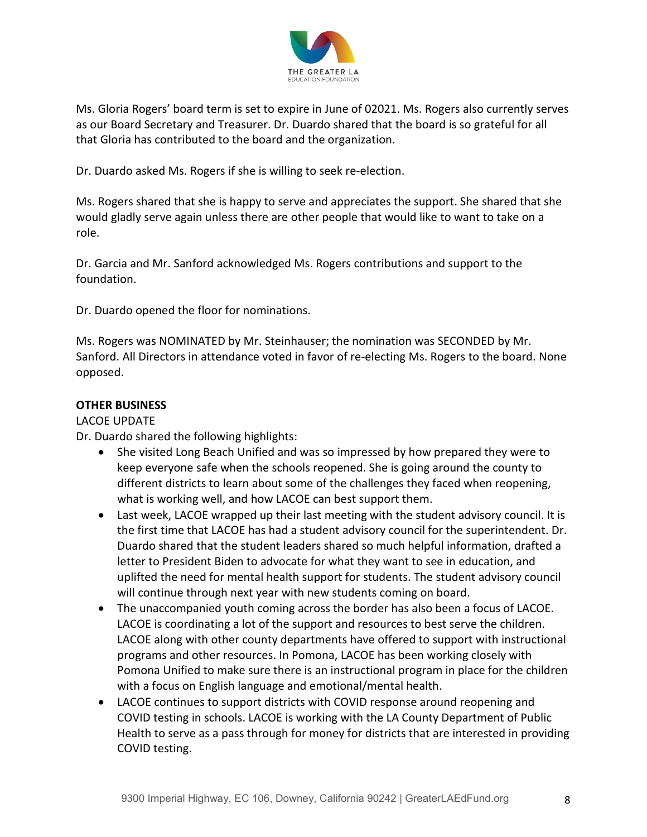

Ms. Gloria Rogers' board term is set to expire in June of 02021. Ms. Rogers also currently serves as our Board Secretary and Treasurer. Dr. Duardo shared that the board is so grateful for all that Gloria has contributed to the board and the organization.

Dr. Duardo asked Ms. Rogers if she is willing to seek re-election.

Ms. Rogers shared that she is happy to serve and appreciates the support. She shared that she would gladly serve again unless there are other people that would like to want to take on a role.

Dr. Garcia and Mr. Sanford acknowledged Ms. Rogers contributions and support to the foundation.

Dr. Duardo opened the floor for nominations.

Ms. Rogers was NOMINATED by Mr. Steinhauser; the nomination was SECONDED by Mr. Sanford. All Directors in attendance voted in favor of re-electing Ms. Rogers to the board. None opposed.

## **OTHER BUSINESS**

# LACOE UPDATE

Dr. Duardo shared the following highlights:

- She visited Long Beach Unified and was so impressed by how prepared they were to keep everyone safe when the schools reopened. She is going around the county to different districts to learn about some of the challenges they faced when reopening, what is working well, and how LACOE can best support them.
- Last week, LACOE wrapped up their last meeting with the student advisory council. It is the first time that LACOE has had a student advisory council for the superintendent. Dr. Duardo shared that the student leaders shared so much helpful information, drafted a letter to President Biden to advocate for what they want to see in education, and uplifted the need for mental health support for students. The student advisory council will continue through next year with new students coming on board.
- The unaccompanied youth coming across the border has also been a focus of LACOE. LACOE is coordinating a lot of the support and resources to best serve the children. LACOE along with other county departments have offered to support with instructional programs and other resources. In Pomona, LACOE has been working closely with Pomona Unified to make sure there is an instructional program in place for the children with a focus on English language and emotional/mental health.
- LACOE continues to support districts with COVID response around reopening and COVID testing in schools. LACOE is working with the LA County Department of Public Health to serve as a pass through for money for districts that are interested in providing COVID testing.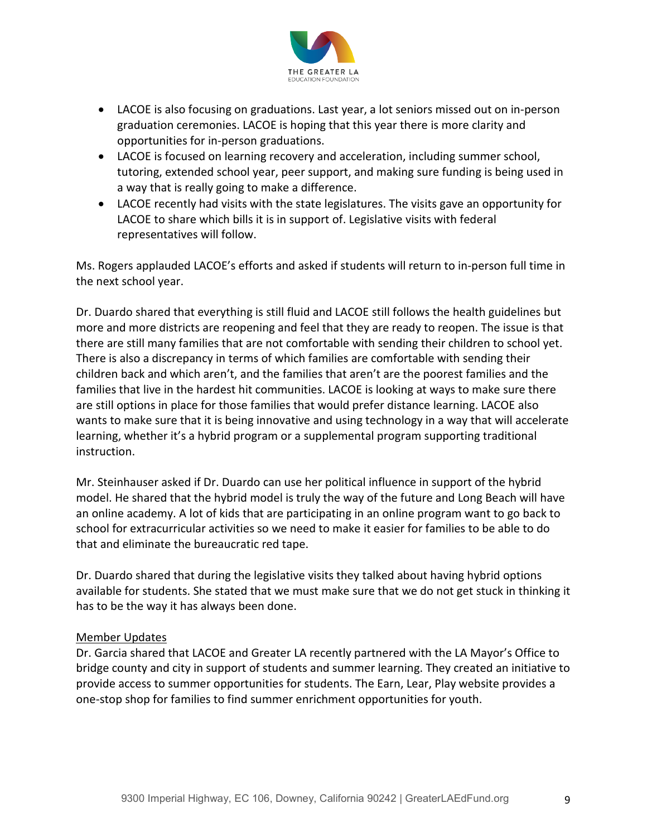

- LACOE is also focusing on graduations. Last year, a lot seniors missed out on in-person graduation ceremonies. LACOE is hoping that this year there is more clarity and opportunities for in-person graduations.
- LACOE is focused on learning recovery and acceleration, including summer school, tutoring, extended school year, peer support, and making sure funding is being used in a way that is really going to make a difference.
- LACOE recently had visits with the state legislatures. The visits gave an opportunity for LACOE to share which bills it is in support of. Legislative visits with federal representatives will follow.

Ms. Rogers applauded LACOE's efforts and asked if students will return to in-person full time in the next school year.

Dr. Duardo shared that everything is still fluid and LACOE still follows the health guidelines but more and more districts are reopening and feel that they are ready to reopen. The issue is that there are still many families that are not comfortable with sending their children to school yet. There is also a discrepancy in terms of which families are comfortable with sending their children back and which aren't, and the families that aren't are the poorest families and the families that live in the hardest hit communities. LACOE is looking at ways to make sure there are still options in place for those families that would prefer distance learning. LACOE also wants to make sure that it is being innovative and using technology in a way that will accelerate learning, whether it's a hybrid program or a supplemental program supporting traditional instruction.

Mr. Steinhauser asked if Dr. Duardo can use her political influence in support of the hybrid model. He shared that the hybrid model is truly the way of the future and Long Beach will have an online academy. A lot of kids that are participating in an online program want to go back to school for extracurricular activities so we need to make it easier for families to be able to do that and eliminate the bureaucratic red tape.

Dr. Duardo shared that during the legislative visits they talked about having hybrid options available for students. She stated that we must make sure that we do not get stuck in thinking it has to be the way it has always been done.

# Member Updates

Dr. Garcia shared that LACOE and Greater LA recently partnered with the LA Mayor's Office to bridge county and city in support of students and summer learning. They created an initiative to provide access to summer opportunities for students. The Earn, Lear, Play website provides a one-stop shop for families to find summer enrichment opportunities for youth.